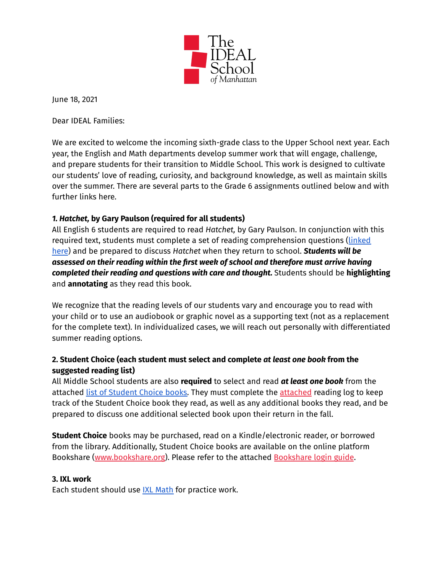

June 18, 2021

Dear IDEAL Families:

We are excited to welcome the incoming sixth-grade class to the Upper School next year. Each year, the English and Math departments develop summer work that will engage, challenge, and prepare students for their transition to Middle School. This work is designed to cultivate our students' love of reading, curiosity, and background knowledge, as well as maintain skills over the summer. There are several parts to the Grade 6 assignments outlined below and with further links here.

## *1. Hatchet,* **by Gary Paulson (required for all students)**

All English 6 students are required to read *Hatchet,* by Gary Paulson. In conjunction with this required text, students must complete a set of reading comprehension questions ([linked](https://drive.google.com/file/d/1eoQVJuENPjsN5adGPXk6SJ6U-VTtvg3-/view?usp=sharing) [here](https://drive.google.com/file/d/1eoQVJuENPjsN5adGPXk6SJ6U-VTtvg3-/view?usp=sharing)) and be prepared to discuss *Hatchet* when they return to school. *Students will be assessed on their reading within the first week of school and therefore must arrive having completed their reading and questions with care and thought.* Students should be **highlighting** and **annotating** as they read this book.

We recognize that the reading levels of our students vary and encourage you to read with your child or to use an audiobook or graphic novel as a supporting text (not as a replacement for the complete text). In individualized cases, we will reach out personally with differentiated summer reading options.

## **2. Student Choice (each student must select and complete** *at least one book* **from the suggested reading list)**

All Middle School students are also **required** to select and read *at least one book* from the attached list of [Student](https://drive.google.com/file/d/1Qc_0I8lSW8osqCq7RgZvtl8gGgtftNHG/view?usp=sharing) Choice books. They must complete the [attached](https://drive.google.com/file/d/1c00pjGWqo4Tam_wzuL3yHZ9WCiZLwpN2/view?usp=sharing) reading log to keep track of the Student Choice book they read, as well as any additional books they read, and be prepared to discuss one additional selected book upon their return in the fall.

**Student Choice** books may be purchased, read on a Kindle/electronic reader, or borrowed from the library. Additionally, Student Choice books are available on the online platform Bookshare [\(www.bookshare.org](http://www.bookshare.org)). Please refer to the attached [Bookshare](https://drive.google.com/file/d/12UnwMfIrba1rMrHn3zvlliKU2YrDJOfI/view?usp=sharing) login guide.

## **3. IXL work**

Each student should use IXL [Math](https://drive.google.com/file/d/1lF0dJsKoyPOTkZd_XV3Dhbnb3cDvzWcR/view?usp=sharing) for practice work.